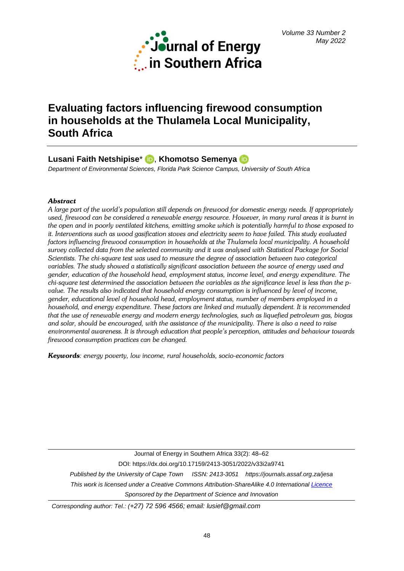

# **Evaluating factors influencing firewood consumption in households at the Thulamela Local Municipality, South Africa**

Lusani Faith Netshipise<sup>\*</sup> D[,](https://orcid.org/0000-0002-4226-6865) Khomotso Semenya D

*Department of Environmental Sciences, Florida Park Science Campus, University of South Africa*

# *Abstract*

*A large part of the world's population still depends on firewood for domestic energy needs. If appropriately used, firewood can be considered a renewable energy resource. However, in many rural areas it is burnt in the open and in poorly ventilated kitchens, emitting smoke which is potentially harmful to those exposed to it. Interventions such as wood gasification stoves and electricity seem to have failed. This study evaluated factors influencing firewood consumption in households at the Thulamela local municipality. A household survey collected data from the selected community and it was analysed with Statistical Package for Social Scientists. The chi-square test was used to measure the degree of association between two categorical variables. The study showed a statistically significant association between the source of energy used and gender, education of the household head, employment status, income level, and energy expenditure. The chi-square test determined the association between the variables as the significance level is less than the pvalue. The results also indicated that household energy consumption is influenced by level of income, gender, educational level of household head, employment status, number of members employed in a household, and energy expenditure. These factors are linked and mutually dependent. It is recommended that the use of renewable energy and modern energy technologies, such as liquefied petroleum gas, biogas and solar, should be encouraged, with the assistance of the municipality. There is also a need to raise environmental awareness. It is through education that people's perception, attitudes and behaviour towards firewood consumption practices can be changed.* 

*Keywords: energy poverty, low income, rural households, socio-economic factors*

Journal of Energy in Southern Africa 33(2): 48–62 DOI: https://dx.doi.org/10.17159/2413-3051/2022/v33i2a9741 *Published by the University of Cape Town ISSN: 2413-3051 https://journals.assaf.org.za/jesa This work is licensed under a Creative Commons Attribution-ShareAlike 4.0 Internationa[l Licence](https://creativecommons.org/licenses/by-sa/4.0/) Sponsored by the Department of Science and Innovation*

*Corresponding author: Tel.: (+27) 72 596 4566; email: lusief@gmail.com*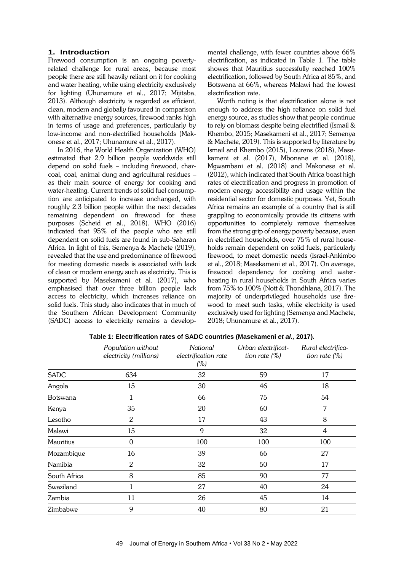## **1. Introduction**

Firewood consumption is an ongoing povertyrelated challenge for rural areas, because most people there are still heavily reliant on it for cooking and water heating, while using electricity exclusively for lighting (Uhunamure et al., 2017; Mijitaba, 2013). Although electricity is regarded as efficient, clean, modern and globally favoured in comparison with alternative energy sources, firewood ranks high in terms of usage and preferences, particularly by low-income and non-electrified households (Makonese et al., 2017; Uhunamure et al., 2017).

In 2016, the World Health Organization (WHO) estimated that 2.9 billion people worldwide still depend on solid fuels – including firewood, charcoal, coal, animal dung and agricultural residues – as their main source of energy for cooking and water-heating. Current trends of solid fuel consumption are anticipated to increase unchanged, with roughly 2.3 billion people within the next decades remaining dependent on firewood for these purposes (Scheid et al., 2018). WHO (2016) indicated that 95% of the people who are still dependent on solid fuels are found in sub-Saharan Africa. In light of this, Semenya & Machete (2019), revealed that the use and predominance of firewood for meeting domestic needs is associated with lack of clean or modern energy such as electricity. This is supported by Masekameni et al. (2017), who emphasised that over three billion people lack access to electricity, which increases reliance on solid fuels. This study also indicates that in much of the Southern African Development Community (SADC) access to electricity remains a developmental challenge, with fewer countries above 66% electrification, as indicated in Table 1. The table showes that Mauritius successfully reached 100% electrification, followed by South Africa at 85%, and Botswana at 66%, whereas Malawi had the lowest electrification rate.

Worth noting is that electrification alone is not enough to address the high reliance on solid fuel energy source, as studies show that people continue to rely on biomass despite being electrified (Ismail & Khembo, 2015; Masekameni et al., 2017; Semenya & Machete, 2019). This is supported by literature by Ismail and Khembo (2015), Lourens (2018), Masekameni et al. (2017), Mbonane et al. (2018), Mgwambani et al. (2018) and Makonese et al. (2012), which indicated that South Africa boast high rates of electrification and progress in promotion of modern energy accessibility and usage within the residential sector for domestic purposes. Yet, South Africa remains an example of a country that is still grappling to economically provide its citizens with opportunities to completely remove themselves from the strong grip of energy poverty because, even in electrified households, over 75% of rural households remain dependent on solid fuels, particularly firewood, to meet domestic needs (Israel-Ankimbo et al., 2018; Masekameni et al., 2017). On average, firewood dependency for cooking and waterheating in rural households in South Africa varies from 75% to 100% (Nott & Thondhlana, 2017). The majority of underprivileged households use firewood to meet such tasks, while electricity is used exclusively used for lighting (Semenya and Machete, 2018; Uhunamure et al., 2017).

|                  | Population without<br>electricity (millions) | National<br>electrification rate<br>(%) | Urban electrificat-<br>tion rate $(\%)$ | Rural electrifica-<br>tion rate $(\%)$ |
|------------------|----------------------------------------------|-----------------------------------------|-----------------------------------------|----------------------------------------|
| <b>SADC</b>      | 634                                          | 32                                      | 59                                      | 17                                     |
| Angola           | 15                                           | 30                                      | 46                                      | 18                                     |
| Botswana         | 1                                            | 66                                      | 75                                      | 54                                     |
| Kenya            | 35                                           | 20                                      | 60                                      | 7                                      |
| Lesotho          | $\overline{2}$                               | 17                                      | 43                                      | 8                                      |
| Malawi           | 15                                           | 9                                       | 32                                      | 4                                      |
| <b>Mauritius</b> | $\boldsymbol{0}$                             | 100                                     | 100                                     | 100                                    |
| Mozambique       | 16                                           | 39                                      | 66                                      | 27                                     |
| Namibia          | $\mathbf{2}$                                 | 32                                      | 50                                      | 17                                     |
| South Africa     | 8                                            | 85                                      | 90                                      | 77                                     |
| Swaziland        | 1                                            | 27                                      | 40                                      | 24                                     |
| Zambia           | 11                                           | 26                                      | 45                                      | 14                                     |
| Zimbabwe         | 9                                            | 40                                      | 80                                      | 21                                     |

**Table 1: Electrification rates of SADC countries (Masekameni** *et al.,* **2017).**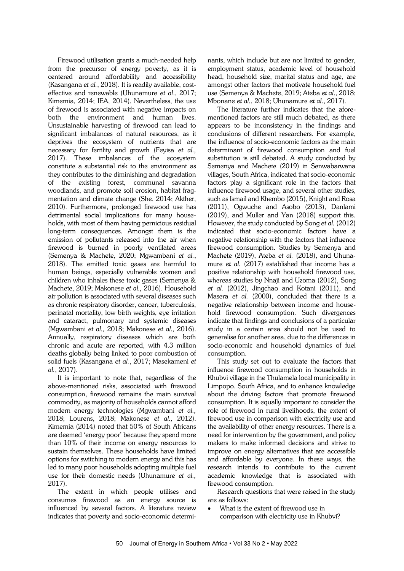Firewood utilisation grants a much-needed help from the precursor of energy poverty, as it is centered around affordability and accessibility (Kasangana *et al.*, 2018). It is readily available, costeffective and renewable (Uhunamure *et al*., 2017; Kimemia, 2014; IEA, 2014). Nevertheless, the use of firewood is associated with negative impacts on both the environment and human lives. Unsustainable harvesting of firewood can lead to significant imbalances of natural resources, as it deprives the ecosystem of nutrients that are necessary for fertility and growth (Feyisa *et al.,* 2017). These imbalances of the ecosystem constitute a substantial risk to the environment as they contributes to the diminishing and degradation of the existing forest, communal savanna woodlands, and promote soil erosion, habitat fragmentation and climate change (She, 2014; Akther, 2010). Furthermore, prolonged firewood use has detrimental social implications for many households, with most of them having pernicious residual long-term consequences. Amongst them is the emission of pollutants released into the air when firewood is burned in poorly ventilated areas (Semenya & Machete, 2020; Mgwambani *et al.*, 2018). The emitted toxic gases are harmful to human beings, especially vulnerable women and children who inhales these toxic gases (Semenya & Machete, 2019; Makonese *et al.,* 2016). Household air pollution is associated with several diseases such as chronic respiratory disorder, cancer, tuberculosis, perinatal mortality, low birth weights, eye irritation and cataract, pulmonary and systemic diseases (Mgwambani *et al.,* 2018; Makonese *et al.,* 2016). Annually, respiratory diseases which are both chronic and acute are reported, with 4.3 million deaths globally being linked to poor combustion of solid fuels (Kasangana *et al.*, 2017; Masekameni *et al.*, 2017).

It is important to note that, regardless of the above-mentioned risks, associated with firewood consumption, firewood remains the main survival commodity, as majority of households cannot afford modern energy technologies (Mgwambani *et al.,* 2018; Lourens, 2018; Makonese *et al.,* 2012). Kimemia (2014) noted that 50% of South Africans are deemed 'energy poor' because they spend more than 10% of their income on energy resources to sustain themselves. These households have limited options for switching to modern energy and this has led to many poor households adopting multiple fuel use for their domestic needs (Uhunamure *et al.,* 2017).

The extent in which people utilises and consumes firewood as an energy source is influenced by several factors. A literature review indicates that poverty and socio-economic determi-

nants, which include but are not limited to gender, employment status, academic level of household head, household size, marital status and age, are amongst other factors that motivate household fuel use (Semenya & Machete, 2019; Ateba *et al*., 2018; Mbonane *et al.*, 2018; Uhunamure *et al*., 2017).

The literature further indicates that the aforementioned factors are still much debated, as there appears to be inconsistency in the findings and conclusions of different researchers. For example, the influence of socio-economic factors as the main determinant of firewood consumption and fuel substitution is still debated. A study conducted by Semenya and Machete (2019) in Senwabarwana villages, South Africa, indicated that socio-economic factors play a significant role in the factors that influence firewood usage, and several other studies, such as Ismail and Khembo (2015), Knight and Rosa (2011), Ogwuche and Asobo (2013), Danlami (2019), and Muller and Yan (2018) support this. However, the study conducted by Song *et al.* (2012) indicated that socio-economic factors have a negative relationship with the factors that influence firewood consumption. Studies by Semenya and Machete (2019), Ateba *et al.* (2018), and Uhunamure *et al.* (2017) established that income has a positive relationship with household firewood use, whereas studies by Nnaji and Uzoma (2012), Song *et al.* (2012), Jingchao and Kotani (2011), and Masera *et al.* (2000), concluded that there is a negative relationship between income and household firewood consumption. Such divergences indicate that findings and conclusions of a particular study in a certain area should not be used to generalise for another area, due to the differences in socio-economic and household dynamics of fuel consumption.

This study set out to evaluate the factors that influence firewood consumption in households in Khubvi village in the Thulamela local municipality in Limpopo. South Africa, and to enhance knowledge about the driving factors that promote firewood consumption. It is equally important to consider the role of firewood in rural livelihoods, the extent of firewood use in comparison with electricity use and the availability of other energy resources. There is a need for intervention by the government, and policy makers to make informed decisions and strive to improve on energy alternatives that are accessible and affordable by everyone. In these ways, the research intends to contribute to the current academic knowledge that is associated with firewood consumption.

Research questions that were raised in the study are as follows:

• What is the extent of firewood use in comparison with electricity use in Khubvi?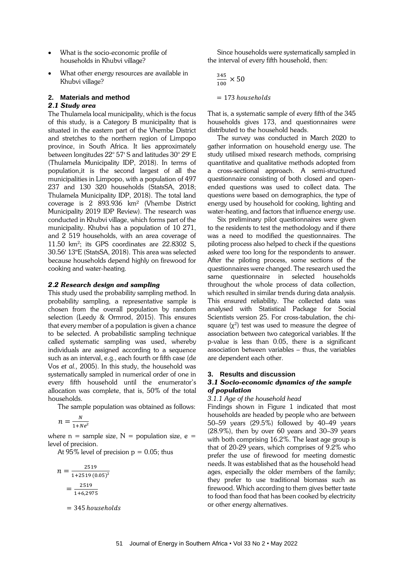- What is the socio-economic profile of households in Khubvi village?
- What other energy resources are available in Khubvi village?

## **2. Materials and method**

# *2.1 Study area*

The Thulamela local municipality, which is the focus of this study, is a Category B municipality that is situated in the eastern part of the Vhembe District and stretches to the northern region of Limpopo province, in South Africa. It lies approximately between longitudes 22° 57' S and latitudes 30° 29' E (Thulamela Municipality IDP, 2018). In terms of population,it is the second largest of all the municipalities in Limpopo, with a population of 497 237 and 130 320 households (StatsSA, 2018; Thulamela Municipality IDP, 2018). The total land coverage is 2 893.936 km² (Vhembe District Municipality 2019 IDP Review). The research was conducted in Khubvi village, which forms part of the municipality. Khubvi has a population of 10 271, and 2 519 households, with an area coverage of 11.50 km<sup>2</sup> ; its GPS coordinates are 22.8302 S, 30.56' 13"E (StatsSA, 2018). This area was selected because households depend highly on firewood for cooking and water-heating.

# *2.2 Research design and sampling*

This study used the probability sampling method. In probability sampling, a representative sample is chosen from the overall population by random selection (Leedy & Ormrod, 2015). This ensures that every member of a population is given a chance to be selected. A probabilistic sampling technique called systematic sampling was used, whereby individuals are assigned according to a sequence such as an interval, e.g., each fourth or fifth case (de Vos *et al.,* 2005). In this study, the household was systematically sampled in numerical order of one in every fifth household until the enumerator's allocation was complete, that is, 50% of the total households.

The sample population was obtained as follows:

$$
n=\frac{N}{1+N e^2}
$$

where  $n =$  sample size,  $N =$  population size,  $e =$ level of precision.

At 95% level of precision  $p = 0.05$ ; thus

$$
n = \frac{2519}{1+2519 (0.05)^2}
$$

$$
= \frac{2519}{1+6,2975}
$$

 $= 345$  households

Since households were systematically sampled in the interval of every fifth household, then:

$$
\frac{345}{100} \times 50
$$
  
= 173 households

That is, a systematic sample of every fifth of the 345 households gives 173, and questionnaires were distributed to the household heads.

The survey was conducted in March 2020 to gather information on household energy use. The study utilised mixed research methods, comprising quantitative and qualitative methods adopted from a cross-sectional approach. A semi-structured questionnaire consisting of both closed and openended questions was used to collect data. The questions were based on demographics, the type of energy used by household for cooking, lighting and water-heating, and factors that influence energy use.

Six preliminary pilot questionnaires were given to the residents to test the methodology and if there was a need to modified the questionnaires. The piloting process also helped to check if the questions asked were too long for the respondents to answer. After the piloting process, some sections of the questionnaires were changed. The research used the same questionnaire in selected households throughout the whole process of data collection, which resulted in similar trends during data analysis. This ensured reliability. The collected data was analysed with Statistical Package for Social Scientists version 25. For cross-tabulation, the chisquare  $(\chi^2)$  test was used to measure the degree of association between two categorical variables. If the p-value is less than 0.05, there is a significant association between variables – thus, the variables are dependent each other.

# **3. Results and discussion**

# *3.1 Socio-economic dynamics of the sample of population*

# *3.1.1 Age of the household head*

Findings shown in Figure 1 indicated that most households are headed by people who are between 50–59 years (29.5%) followed by 40–49 years (28.9%), then by over 60 years and 30–39 years with both comprising 16.2%. The least age group is that of 20-29 years, which comprises of 9.2% who prefer the use of firewood for meeting domestic needs. It was established that as the household head ages, especially the older members of the family; they prefer to use traditional biomass such as firewood. Which according to them gives better taste to food than food that has been cooked by electricity or other energy alternatives.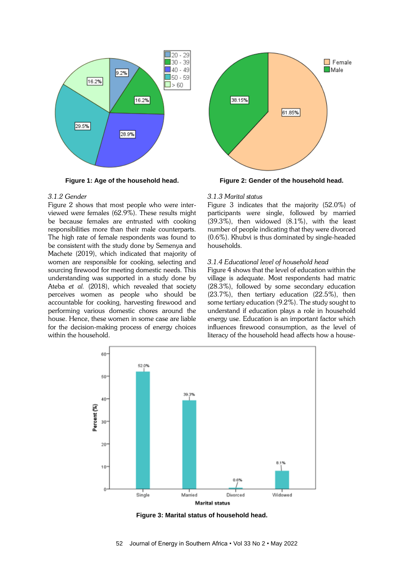

**Figure 1: Age of the household head.**

### *3.1.2 Gender*

Figure 2 shows that most people who were interviewed were females (62.9%). These results might be because females are entrusted with cooking responsibilities more than their male counterparts. The high rate of female respondents was found to be consistent with the study done by Semenya and Machete (2019), which indicated that majority of women are responsible for cooking, selecting and sourcing firewood for meeting domestic needs. This understanding was supported in a study done by Ateba *et al.* (2018), which revealed that society perceives women as people who should be accountable for cooking, harvesting firewood and performing various domestic chores around the house. Hence, these women in some case are liable for the decision-making process of energy choices within the household.



**Figure 2: Gender of the household head.**

#### *3.1.3 Marital status*

Figure 3 indicates that the majority (52.0%) of participants were single, followed by married (39.3%), then widowed (8.1%), with the least number of people indicating that they were divorced (0.6%). Khubvi is thus dominated by single-headed households.

#### *3.1.4 Educational level of household head*

Figure 4 shows that the level of education within the village is adequate. Most respondents had matric (28.3%), followed by some secondary education (23.7%), then tertiary education (22.5%), then some tertiary education (9.2%). The study sought to understand if education plays a role in household energy use. Education is an important factor which influences firewood consumption, as the level of literacy of the household head affects how a house-



**Figure 3: Marital status of household head.**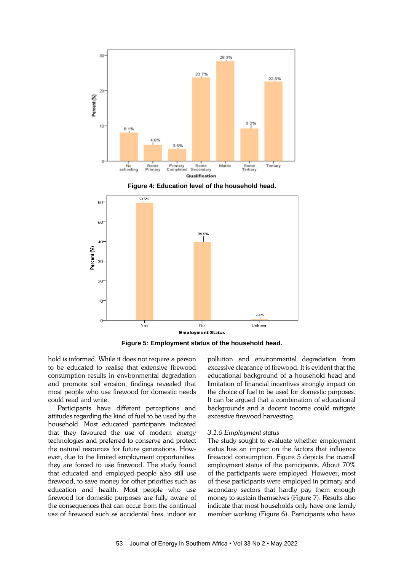





**Figure 5: Employment status of the household head.**

hold is informed. While it does not require a person to be educated to realise that extensive firewood consumption results in environmental degradation and promote soil erosion, findings revealed that most people who use firewood for domestic needs could read and write.

Participants have different perceptions and attitudes regarding the kind of fuel to be used by the household. Most educated participants indicated that they favoured the use of modern energy technologies and preferred to conserve and protect the natural resources for future generations. However, due to the limited employment opportunities, they are forced to use firewood. The study found that educated and employed people also still use firewood, to save money for other priorities such as education and health. Most people who use firewood for domestic purposes are fully aware of the consequences that can occur from the continual use of firewood such as accidental fires, indoor air pollution and environmental degradation from excessive clearance of firewood. It is evident that the educational background of a household head and limitation of financial incentives strongly impact on the choice of fuel to be used for domestic purposes. It can be argued that a combination of educational backgrounds and a decent income could mitigate excessive firewood harvesting.

#### *3.1.5 Employment status*

The study sought to evaluate whether employment status has an impact on the factors that influence firewood consumption. Figure 5 depicts the overall employment status of the participants. About 70% of the participants were employed. However, most of these participants were employed in primary and secondary sectors that hardly pay them enough money to sustain themselves (Figure 7). Results also indicate that most households only have one family member working (Figure 6). Participants who have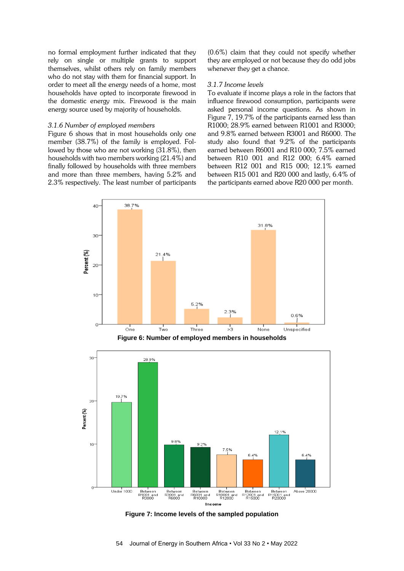no formal employment further indicated that they rely on single or multiple grants to support themselves, whilst others rely on family members who do not stay with them for financial support. In order to meet all the energy needs of a home, most households have opted to incorporate firewood in the domestic energy mix. Firewood is the main energy source used by majority of households.

#### *3.1.6 Number of employed members*

Figure 6 shows that in most households only one member (38.7%) of the family is employed. Followed by those who are not working (31.8%), then households with two members working (21.4%) and finally followed by households with three members and more than three members, having 5.2% and 2.3% respectively. The least number of participants

(0.6%) claim that they could not specify whether they are employed or not because they do odd jobs whenever they get a chance.

## *3.1.7 Income levels*

To evaluate if income plays a role in the factors that influence firewood consumption, participants were asked personal income questions. As shown in Figure 7, 19.7% of the participants earned less than R1000; 28.9% earned between R1001 and R3000; and 9.8% earned between R3001 and R6000. The study also found that 9.2% of the participants earned between R6001 and R10 000; 7.5% earned between R10 001 and R12 000; 6.4% earned between R12 001 and R15 000; 12.1% earned between R15 001 and R20 000 and lastly, 6.4% of the participants earned above R20 000 per month.



**Figure 6: Number of employed members in households**



**Figure 7: Income levels of the sampled population**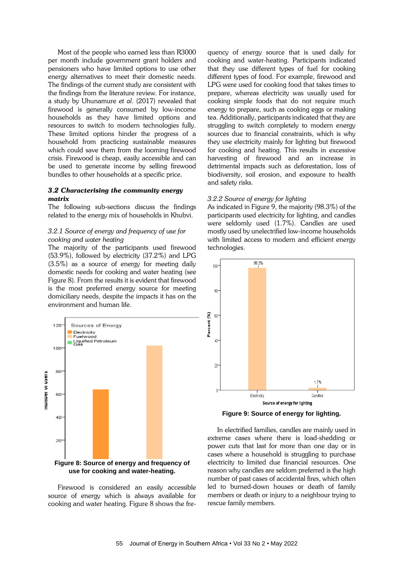Most of the people who earned less than R3000 per month include government grant holders and pensioners who have limited options to use other energy alternatives to meet their domestic needs. The findings of the current study are consistent with the findings from the literature review. For instance, a study by Uhunamure *et al*. (2017) revealed that firewood is generally consumed by low-income households as they have limited options and resources to switch to modern technologies fully. These limited options hinder the progress of a household from practicing sustainable measures which could save them from the looming firewood crisis. Firewood is cheap, easily accessible and can be used to generate income by selling firewood bundles to other households at a specific price.

#### *3.2 Characterising the community energy matrix*

The following sub-sections discuss the findings related to the energy mix of households in Khubvi.

### *3.2.1 Source of energy and frequency of use for cooking and water heating*

The majority of the participants used firewood (53.9%), followed by electricity (37.2%) and LPG (3.5%) as a source of energy for meeting daily domestic needs for cooking and water heating (see Figure 8). From the results it is evident that firewood is the most preferred energy source for meeting domiciliary needs, despite the impacts it has on the environment and human life.



Firewood is considered an easily accessible source of energy which is always available for cooking and water heating. Figure 8 shows the frequency of energy source that is used daily for cooking and water-heating. Participants indicated that they use different types of fuel for cooking different types of food. For example, firewood and LPG were used for cooking food that takes times to prepare, whereas electricity was usually used for cooking simple foods that do not require much energy to prepare, such as cooking eggs or making tea. Additionally, participants indicated that they are struggling to switch completely to modern energy sources due to financial constraints, which is why they use electricity mainly for lighting but firewood for cooking and heating. This results in excessive harvesting of firewood and an increase in detrimental impacts such as deforestation, loss of biodiversity, soil erosion, and exposure to health and safety risks.

#### *3.2.2 Source of energy for lighting*

As indicated in Figure 9, the majority (98.3%) of the participants used electricity for lighting, and candles were seldomly used (1.7%). Candles are used mostly used by unelectrified low-income households with limited access to modern and efficient energy technologies.



**Figure 9: Source of energy for lighting.**

In electrified families, candles are mainly used in extreme cases where there is load-shedding or power cuts that last for more than one day or in cases where a household is struggling to purchase electricity to limited due financial resources. One reason why candles are seldom preferred is the high number of past cases of accidental fires, which often led to burned-down houses or death of family members or death or injury to a neighbour trying to rescue family members.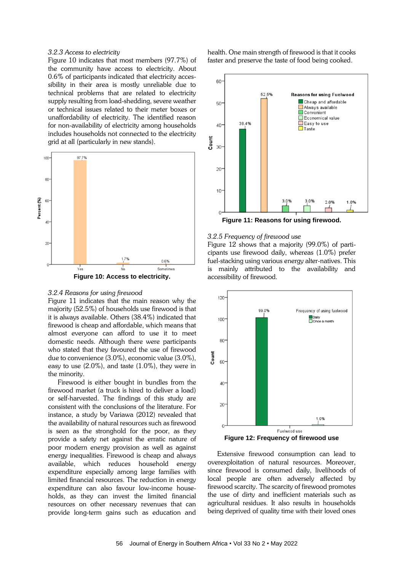## *3.2.3 Access to electricity*

Figure 10 indicates that most members (97.7%) of the community have access to electricity. About 0.6% of participants indicated that electricity accessibility in their area is mostly unreliable due to technical problems that are related to electricity supply resulting from load-shedding, severe weather or technical issues related to their meter boxes or unaffordability of electricity. The identified reason for non-availability of electricity among households includes households not connected to the electricity grid at all (particularly in new stands).



#### *3.2.4 Reasons for using firewood*

Figure 11 indicates that the main reason why the majority (52.5%) of households use firewood is that it is always available. Others (38.4%) indicated that firewood is cheap and affordable, which means that almost everyone can afford to use it to meet domestic needs. Although there were participants who stated that they favoured the use of firewood due to convenience (3.0%), economic value (3.0%), easy to use (2.0%), and taste (1.0%), they were in the minority.

Firewood is either bought in bundles from the firewood market (a truck is hired to deliver a load) or self-harvested. The findings of this study are consistent with the conclusions of the literature. For instance, a study by Variawa (2012) revealed that the availability of natural resources such as firewood is seen as the stronghold for the poor, as they provide a safety net against the erratic nature of poor modern energy provision as well as against energy inequalities. Firewood is cheap and always available, which reduces household energy expenditure especially among large families with limited financial resources. The reduction in energy expenditure can also favour low-income households, as they can invest the limited financial resources on other necessary revenues that can provide long-term gains such as education and health. One main strength of firewood is that it cooks faster and preserve the taste of food being cooked.



**Figure 11: Reasons for using firewood.**

### *3.2.5 Frequency of firewood use*

Figure 12 shows that a majority (99.0%) of participants use firewood daily, whereas (1.0%) prefer fuel-stacking using various energy alter-natives. This is mainly attributed to the availability and accessibility of firewood.



Extensive firewood consumption can lead to overexploitation of natural resources. Moreover, since firewood is consumed daily, livelihoods of local people are often adversely affected by firewood scarcity. The scarcity of firewood promotes the use of dirty and inefficient materials such as agricultural residues. It also results in households being deprived of quality time with their loved ones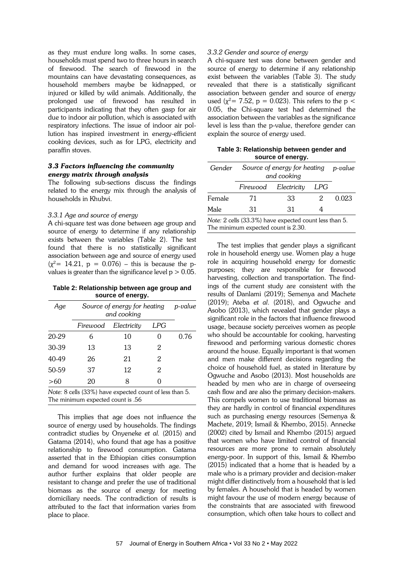as they must endure long walks. In some cases, households must spend two to three hours in search of firewood. The search of firewood in the mountains can have devastating consequences, as household members maybe be kidnapped, or injured or killed by wild animals. Additionally, the prolonged use of firewood has resulted in participants indicating that they often gasp for air due to indoor air pollution, which is associated with respiratory infections. The issue of indoor air pollution has inspired investment in energy-efficient cooking devices, such as for LPG, electricity and paraffin stoves.

## *3.3 Factors influencing the community energy matrix through analysis*

The following sub-sections discuss the findings related to the energy mix through the analysis of households in Khubvi.

## *3.3.1 Age and source of energy*

A chi-square test was done between age group and source of energy to determine if any relationship exists between the variables (Table 2). The test found that there is no statistically significant association between age and source of energy used  $(\chi^2$ = 14.21, p = 0.076) – this is because the pvalues is greater than the significance level  $p > 0.05$ .

**Table 2: Relationship between age group and source of energy.**

| Age                                                    | Source of energy for heating<br>and cooking |             |     | p-value |  |  |
|--------------------------------------------------------|---------------------------------------------|-------------|-----|---------|--|--|
|                                                        | Firewood                                    | Electricity | LPG |         |  |  |
| 20-29                                                  | 6                                           | 10          |     | 0.76    |  |  |
| 30-39                                                  | 13                                          | 13          | 2   |         |  |  |
| 40-49                                                  | 26                                          | 21          | 2   |         |  |  |
| 50-59                                                  | 37                                          | 12          | 2   |         |  |  |
| >60                                                    | 20                                          | 8           | 0   |         |  |  |
| Note: 8 cells (33%) have expected count of less than 5 |                                             |             |     |         |  |  |

*Note:* 8 cells (33%) have expected count of less than 5. The minimum expected count is .56

This implies that age does not influence the source of energy used by households. The findings contradict studies by Onyeneke *et al.* (2015) and Gatama (2014), who found that age has a positive relationship to firewood consumption. Gatama asserted that in the Ethiopian cities consumption and demand for wood increases with age. The author further explains that older people are resistant to change and prefer the use of traditional biomass as the source of energy for meeting domiciliary needs. The contradiction of results is attributed to the fact that information varies from place to place.

## *3.3.2 Gender and source of energy*

A chi-square test was done between gender and source of energy to determine if any relationship exist between the variables (Table 3). The study revealed that there is a statistically significant association between gender and source of energy used ( $\chi^2$  = 7.52, p = 0.023). This refers to the p < 0.05, the Chi-square test had determined the association between the variables as the significance level is less than the p-value, therefore gender can explain the source of energy used.

| Table 3: Relationship between gender and |  |
|------------------------------------------|--|
| source of energy.                        |  |

|    |    | Gender Source of energy for heating p-value<br>and cooking |       |  |
|----|----|------------------------------------------------------------|-------|--|
|    |    | LPG                                                        |       |  |
| 71 | 33 | 2.                                                         | 0.023 |  |
| 31 | 31 |                                                            |       |  |
|    |    | Firewood Electricity                                       |       |  |

*Note:* 2 cells (33.3%) have expected count less than 5. The minimum expected count is 2.30.

The test implies that gender plays a significant role in household energy use. Women play a huge role in acquiring household energy for domestic purposes; they are responsible for firewood harvesting, collection and transportation. The findings of the current study are consistent with the results of Danlami (2019); Semenya and Machete (2019); Ateba *et al*. (2018), and Ogwuche and Asobo (2013), which revealed that gender plays a significant role in the factors that influence firewood usage, because society perceives women as people who should be accountable for cooking, harvesting firewood and performing various domestic chores around the house. Equally important is that women and men make different decisions regarding the choice of household fuel, as stated in literature by Ogwuche and Asobo (2013). Most households are headed by men who are in charge of overseeing cash flow and are also the primary decision-makers. This compels women to use traditional biomass as they are hardly in control of financial expenditures such as purchasing energy resources (Semenya & Machete, 2019; Ismail & Khembo, 2015). Annecke (2002) cited by Ismail and Khembo (2015) argued that women who have limited control of financial resources are more prone to remain absolutely energy-poor. In support of this, Ismail & Khembo (2015) indicated that a home that is headed by a male who is a primary provider and decision-maker might differ distinctively from a household that is led by females. A household that is headed by women might favour the use of modern energy because of the constraints that are associated with firewood consumption, which often take hours to collect and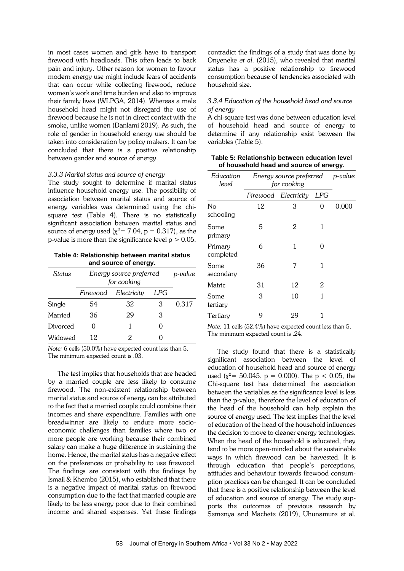in most cases women and girls have to transport firewood with headloads. This often leads to back pain and injury. Other reason for women to favour modern energy use might include fears of accidents that can occur while collecting firewood, reduce women's work and time burden and also to improve their family lives (WLPGA, 2014). Whereas a male household head might not disregard the use of firewood because he is not in direct contact with the smoke, unlike women (Danlami 2019). As such, the role of gender in household energy use should be taken into consideration by policy makers. It can be concluded that there is a positive relationship between gender and source of energy.

#### *3.3.3 Marital status and source of energy*

The study sought to determine if marital status influence household energy use. The possibility of association between marital status and source of energy variables was determined using the chisquare test (Table 4). There is no statistically significant association between marital status and source of energy used ( $\chi^2$ = 7.04, p = 0.317), as the p-value is more than the significance level  $p > 0.05$ .

| Table 4: Relationship between marital status |  |
|----------------------------------------------|--|
| and source of energy.                        |  |

| Status                                                                | Energy source preferred<br>for cooking |    |              | p-value |  |  |
|-----------------------------------------------------------------------|----------------------------------------|----|--------------|---------|--|--|
|                                                                       | Firewood                               |    |              |         |  |  |
| Single                                                                | 54                                     | 32 | З            | 0.317   |  |  |
| Married                                                               | 36                                     | 29 | 3            |         |  |  |
| Divorced                                                              |                                        |    | $\mathbf{0}$ |         |  |  |
| Widowed                                                               | 12                                     | 2  | 0            |         |  |  |
| $N_{\text{obs}}$ 6 sells (EQ 00%) house supported sount loss than $E$ |                                        |    |              |         |  |  |

*Note:* 6 cells (50.0%) have expected count less than 5. The minimum expected count is .03.

The test implies that households that are headed by a married couple are less likely to consume firewood. The non-existent relationship between marital status and source of energy can be attributed to the fact that a married couple could combine their incomes and share expenditure. Families with one breadwinner are likely to endure more socioeconomic challenges than families where two or more people are working because their combined salary can make a huge difference in sustaining the home. Hence, the marital status has a negative effect on the preferences or probability to use firewood. The findings are consistent with the findings by Ismail & Khembo (2015), who established that there is a negative impact of marital status on firewood consumption due to the fact that married couple are likely to be less energy poor due to their combined income and shared expenses. Yet these findings contradict the findings of a study that was done by Onyeneke *et al*. (2015), who revealed that marital status has a positive relationship to firewood consumption because of tendencies associated with household size.

# *3.3.4 Education of the household head and source of energy*

A chi-square test was done between education level of household head and source of energy to determine if any relationship exist between the variables (Table 5).

| Table 5: Relationship between education level |
|-----------------------------------------------|
| of household head and source of energy.       |

| Education<br>level                                      | Energy source preferred<br>for cooking |                      |     | p-value |  |  |
|---------------------------------------------------------|----------------------------------------|----------------------|-----|---------|--|--|
|                                                         |                                        | Firewood Electricity | LPG |         |  |  |
| No<br>schooling                                         | 12                                     | 3                    | 0   | 0.000   |  |  |
| Some<br>primary                                         | 5                                      | 2                    | 1   |         |  |  |
| Primary<br>completed                                    | 6                                      | 1                    | O   |         |  |  |
| Some<br>secondary                                       | 36                                     | 7                    | 1   |         |  |  |
| Matric                                                  | 31                                     | 12                   | 2   |         |  |  |
| Some<br>tertiary                                        | 3                                      | 10                   | 1   |         |  |  |
| Tertiary                                                | 9                                      | 29                   | 1   |         |  |  |
| Note: 11 cells (52.4%) have expected count less than 5. |                                        |                      |     |         |  |  |

The minimum expected count is .24.

The study found that there is a statistically significant association between the level of education of household head and source of energy used ( $\chi^2$  = 50.045, p = 0.000). The p < 0.05, the Chi-square test has determined the association between the variables as the significance level is less than the p-value, therefore the level of education of the head of the household can help explain the source of energy used. The test implies that the level of education of the head of the household influences the decision to move to cleaner energy technologies. When the head of the household is educated, they tend to be more open-minded about the sustainable ways in which firewood can be harvested. It is through education that people's perceptions, attitudes and behaviour towards firewood consumption practices can be changed. It can be concluded that there is a positive relationship between the level of education and source of energy. The study supports the outcomes of previous research by Semenya and Machete (2019), Uhunamure et al.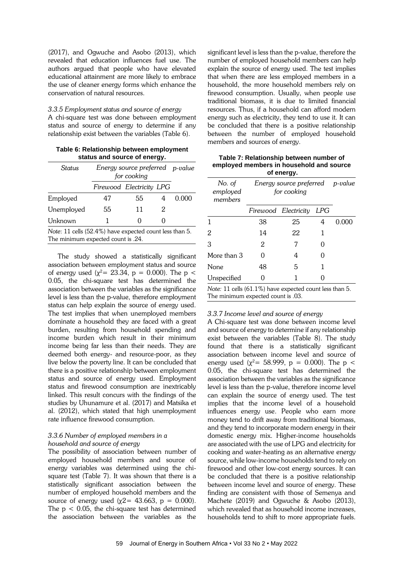(2017), and Ogwuche and Asobo (2013), which revealed that education influences fuel use. The authors argued that people who have elevated educational attainment are more likely to embrace the use of cleaner energy forms which enhance the conservation of natural resources.

*3.3.5 Employment status and source of energy* A chi-square test was done between employment status and source of energy to determine if any relationship exist between the variables (Table 6).

| Table 6: Relationship between employment |
|------------------------------------------|
| status and source of energy.             |

| Status                                                                                        | Energy source preferred p-value<br>for cooking |                          |   |       |  |
|-----------------------------------------------------------------------------------------------|------------------------------------------------|--------------------------|---|-------|--|
|                                                                                               |                                                | Firewood Electricity LPG |   |       |  |
| Employed                                                                                      | 47                                             | 55                       | Δ | 0.000 |  |
| Unemployed                                                                                    | 55                                             | 11                       | 2 |       |  |
| Unknown                                                                                       |                                                | 0                        |   |       |  |
| Note: 11 cells (52.4%) have expected count less than 5.<br>The minimum expected count is .24. |                                                |                          |   |       |  |

The study showed a statistically significant association between employment status and source of energy used ( $\chi^2$ = 23.34, p = 0.000). The p < 0.05, the chi-square test has determined the association between the variables as the significance level is less than the p-value, therefore employment status can help explain the source of energy used. The test implies that when unemployed members dominate a household they are faced with a great burden, resulting from household spending and income burden which result in their minimum income being far less than their needs. They are deemed both energy- and resource-poor, as they live below the poverty line. It can be concluded that there is a positive relationship between employment status and source of energy used. Employment status and firewood consumption are inextricably linked. This result concurs with the findings of the studies by Uhunamure et al. (2017) and Matsika et al. (2012), which stated that high unemployment rate influence firewood consumption.

## *3.3.6 Number of employed members in a household and source of energy*

The possibility of association between number of employed household members and source of energy variables was determined using the chisquare test (Table 7). It was shown that there is a statistically significant association between the number of employed household members and the source of energy used ( $χ2 = 43.663$ ,  $p = 0.000$ ). The  $p < 0.05$ , the chi-square test has determined the association between the variables as the

significant level is less than the p-value, therefore the number of employed household members can help explain the source of energy used. The test implies that when there are less employed members in a household, the more household members rely on firewood consumption. Usually, when people use traditional biomass, it is due to limited financial resources. Thus, if a household can afford modern energy such as electricity, they tend to use it. It can be concluded that there is a positive relationship between the number of employed household members and sources of energy.

| Table 7: Relationship between number of  |
|------------------------------------------|
| employed members in household and source |
| of energy.                               |

| No. of<br>employed<br>members                           | Energy source preferred p-value<br>for cooking |                          |   |       |  |
|---------------------------------------------------------|------------------------------------------------|--------------------------|---|-------|--|
|                                                         |                                                | Firewood Electricity LPG |   |       |  |
| 1                                                       | 38                                             | 25                       | 4 | 0.000 |  |
| 2                                                       | 14                                             | 22                       | 1 |       |  |
| 3                                                       | 2                                              |                          | 0 |       |  |
| More than 3                                             | 0                                              | 4                        |   |       |  |
| None                                                    | 48                                             | 5                        |   |       |  |
| Unspecified                                             | $\mathbf{\Omega}$                              | 1                        |   |       |  |
| Note: 11 cells (61.1%) have expected count less than 5. |                                                |                          |   |       |  |

The minimum expected count is .03.

## *3.3.7 Income level and source of energy*

A Chi-square test was done between income level and source of energy to determine if any relationship exist between the variables (Table 8). The study found that there is a statistically significant association between income level and source of energy used ( $\chi^2$  = 58.999, p = 0.000). The p < 0.05, the chi-square test has determined the association between the variables as the significance level is less than the p-value, therefore income level can explain the source of energy used. The test implies that the income level of a household influences energy use. People who earn more money tend to drift away from traditional biomass, and they tend to incorporate modern energy in their domestic energy mix. Higher-income households are associated with the use of LPG and electricity for cooking and water-heating as an alternative energy source, while low-income households tend to rely on firewood and other low-cost energy sources. It can be concluded that there is a positive relationship between income level and source of energy. These finding are consistent with those of Semenya and Machete (2019) and Ogwuche & Asobo (2013), which revealed that as household income increases, households tend to shift to more appropriate fuels.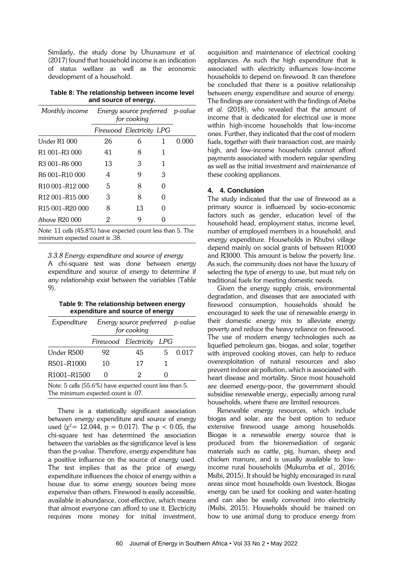Similarly, the study done by Uhunamure *et al.* (2017) found that household income is an indication of status welfare as well as the economic development of a household.

**Table 8: The relationship between income level and source of energy.**

| Monthly income                          | Energy source preferred p-value<br>for cooking |                          |   |       |
|-----------------------------------------|------------------------------------------------|--------------------------|---|-------|
|                                         |                                                | Firewood Electricity LPG |   |       |
| Under R1 000                            | 26                                             | 6                        | 1 | 0.000 |
| R <sub>1</sub> 001-R <sub>3</sub> 000   | 41                                             | 8                        | 1 |       |
| R <sub>3</sub> 001-R <sub>6</sub> 000   | 13                                             | 3                        |   |       |
| R <sub>6</sub> 001-R <sub>10</sub> 000  | 4                                              | 9                        | 3 |       |
| R <sub>10</sub> 001-R <sub>12</sub> 000 | 5                                              | 8                        |   |       |
| R <sub>12</sub> 001-R <sub>15</sub> 000 | 3                                              | 8                        | 0 |       |
| R <sub>15</sub> 001-R <sub>20</sub> 000 | 8                                              | 13                       | 0 |       |
| Aboye R20 000                           | 2                                              | g                        |   |       |

*Note:* 11 cells (45.8%) have expected count less than 5. The minimum expected count is .38.

*3.3.8 Energy expenditure and source of energy*

A chi-square test was done between energy expenditure and source of energy to determine if any relationship exist between the variables (Table 9).

| Table 9: The relationship between energy |
|------------------------------------------|
| expenditure and source of energy         |

| Expenditure Energy source preferred p-value                                                  | for cooking       |                          |    |       |  |  |  |  |
|----------------------------------------------------------------------------------------------|-------------------|--------------------------|----|-------|--|--|--|--|
|                                                                                              |                   | Firewood Electricity LPG |    |       |  |  |  |  |
| Under R500                                                                                   | 92                | 45                       | 5. | 0.017 |  |  |  |  |
| R501-R1000                                                                                   | 10                | 17                       |    |       |  |  |  |  |
| R <sub>1001</sub> -R <sub>1500</sub>                                                         | $\mathbf{\Omega}$ | 2                        |    |       |  |  |  |  |
| Note: 5 cells (55.6%) have expected count less than 5.<br>The minimum expected count is .07. |                   |                          |    |       |  |  |  |  |

There is a statistically significant association between energy expenditure and source of energy used ( $\chi^2$ = 12.044, p = 0.017). The p < 0.05, the chi-square test has determined the association between the variables as the significance level is less than the p-value. Therefore, energy expenditure has a positive influence on the source of energy used. The test implies that as the price of energy expenditure influences the choice of energy within a house due to some energy sources being more expensive than others. Firewood is easily accessible, available in abundance, cost-effective, which means that almost everyone can afford to use it. Electricity requires more money for initial investment,

acquisition and maintenance of electrical cooking appliances. As such the high expenditure that is associated with electricity influences low-income households to depend on firewood. It can therefore be concluded that there is a positive relationship between energy expenditure and source of energy. The findings are consistent with the findings of Ateba *et al*. (2018), who revealed that the amount of income that is dedicated for electrical use is more within high-income households that low-income ones. Further, they indicated that the cost of modern fuels, together with their transaction cost, are mainly high, and low-income households cannot afford payments associated with modern regular spending as well as the initial investment and maintenance of these cooking appliances.

## **4. 4. Conclusion**

The study indicated that the use of firewood as a primary source is influenced by socio-economic factors such as gender, education level of the household head, employment status, income level, number of employed members in a household, and energy expenditure. Households in Khubvi village depend mainly on social grants of between R1000 and R3000. This amount is below the poverty line. As such, the community does not have the luxury of selecting the type of energy to use, but must rely on traditional fuels for meeting domestic needs.

Given the energy supply crisis, environmental degradation, and diseases that are associated with firewood consumption, households should be encouraged to seek the use of renewable energy in their domestic energy mix to alleviate energy poverty and reduce the heavy reliance on firewood. The use of modern energy technologies such as liquefied petroleum gas, biogas, and solar, together with improved cooking stoves, can help to reduce overexploitation of natural resources and also prevent indoor air pollution, which is associated with heart disease and mortality. Since most household are deemed energy-poor, the government should subsidise renewable energy, especially among rural households, where there are limited resources.

Renewable energy resources, which include biogas and solar, are the best option to reduce extensive firewood usage among households. Biogas is a renewable energy source that is produced from the bioremediation of organic materials such as cattle, pig, human, sheep and chicken manure, and is usually available to lowincome rural households (Mukumba *et al.,* 2016; Msibi, 2015). It should be highly encouraged in rural areas since most households own livestock. Biogas energy can be used for cooking and water-heating and can also be easily converted into electricity (Msibi, 2015). Households should be trained on how to use animal dung to produce energy from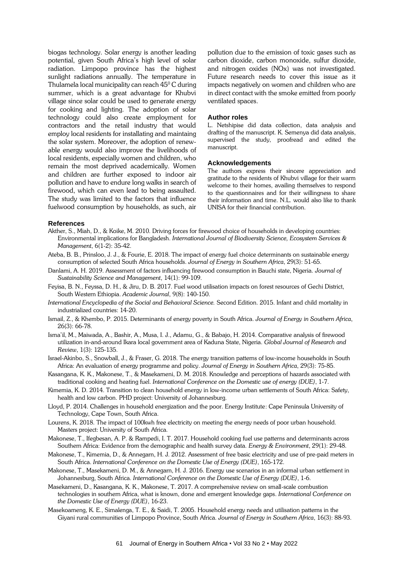biogas technology. Solar energy is another leading potential, given South Africa's high level of solar radiation. Limpopo province has the highest sunlight radiations annually. The temperature in Thulamela local municipality can reach  $45^{\circ}$ C during summer, which is a great advantage for Khubvi village since solar could be used to generate energy for cooking and lighting. The adoption of solar technology could also create employment for contractors and the retail industry that would employ local residents for installating and maintaing the solar system. Moreover, the adoption of renewable energy would also improve the livelihoods of local residents, especially women and children, who remain the most deprived academically. Women and children are further exposed to indoor air pollution and have to endure long walks in search of firewood, which can even lead to being assaulted. The study was limited to the factors that influence fuelwood consumption by households, as such, air pollution due to the emission of toxic gases such as carbon dioxide, carbon monoxide, sulfur dioxide, and nitrogen oxides (NOx) was not investigated. Future research needs to cover this issue as it impacts negatively on women and children who are in direct contact with the smoke emitted from poorly ventilated spaces.

#### **Author roles**

L. Netshipise did data collection, data analysis and drafting of the manuscript. K. Semenya did data analysis, supervised the study, proofread and edited the manuscript.

#### **Acknowledgements**

The authors express their sincere appreciation and gratitude to the residents of Khubvi village for their warm welcome to their homes, availing themselves to respond to the questionnaires and for their willingness to share their information and time. N.L. would also like to thank UNISA for their financial contribution.

#### **References**

- Akther, S., Miah, D., & Koike, M. 2010. Driving forces for firewood choice of households in developing countries: Environmental implications for Bangladesh. *International Journal of Biodiversity Science, Ecosystem Services & Management*, 6(1-2): 35-42.
- Ateba, B. B., Prinsloo, J. J., & Fourie, E. 2018. The impact of energy fuel choice determinants on sustainable energy consumption of selected South Africa households. *Journal of Energy in Southern Africa*, 29(3): 51-65.
- Danlami, A. H. 2019. Assessment of factors influencing firewood consumption in Bauchi state, Nigeria. *Journal of Sustainability Science and Management*, 14(1): 99-109.
- Feyisa, B. N., Feyssa, D. H., & Jiru, D. B. 2017. Fuel wood utilisation impacts on forest resources of Gechi District, South Western Ethiopia. *Academic Journal*, 9(8): 140-150.
- *International Encyclopedia of the Social and Behavioral Science.* Second Edition. 2015. Infant and child mortality in industrialized countries: 14-20.
- Ismail, Z., & Khembo, P. 2015. Determinants of energy poverty in South Africa. *Journal of Energy in Southern Africa*, 26(3): 66-78.
- Isma'il, M., Maiwada, A., Bashir, A., Musa, I. J., Adamu, G., & Babajo, H. 2014. Comparative analysis of firewood utilization in-and-around Ikara local government area of Kaduna State, Nigeria. *Global Journal of Research and Review*, 1(3): 125-135.
- Israel-Akinbo, S., Snowball, J., & Fraser, G. 2018. The energy transition patterns of low-income households in South Africa: An evaluation of energy programme and policy. *Journal of Energy in Southern Africa*, 29(3): 75-85.
- Kasangana, K. K., Makonese, T., & Masekameni, D. M. 2018. Knowledge and perceptions of hazards associated with traditional cooking and heating fuel. *International Conference on the Domestic use of energy (DUE)*, 1-7.
- Kimemia, K. D. 2014. Transition to clean household energy in low-income urban settlements of South Africa: Safety, health and low carbon. PHD project: University of Johannesburg.
- Lloyd, P. 2014. Challenges in household energization and the poor. Energy Institute: Cape Peninsula University of Technology, Cape Town, South Africa.
- Lourens, K. 2018. The impact of 100kwh free electricity on meeting the energy needs of poor urban household. Masters project: University of South Africa.
- Makonese, T., Ifegbesan, A. P. & Rampedi, I. T. 2017. Household cooking fuel use patterns and determinants across Southern Africa: Evidence from the demographic and health survey data*. Energy & Environment*, 29(1): 29-48.
- Makonese, T., Kimemia, D., & Annegarn, H. J. 2012. Assessment of free basic electricity and use of pre-paid meters in South Africa. *International Conference on the Domestic Use of Energy (DUE)*, 165-172.
- Makonese, T., Masekameni, D. M., & Annegarn, H. J. 2016. Energy use scenarios in an informal urban settlement in Johannesburg, South Africa. *International Conference on the Domestic Use of Energy (DUE)*, 1-6.
- Masekameni, D., Kasangana, K. K., Makonese, T. 2017. A comprehensive review on small-scale combustion technologies in southern Africa, what is known, done and emergent knowledge gaps. *International Conference on the Domestic Use of Energy (DUE)*, 16-23.
- Masekoameng, K. E., Simalenga, T. E., & Saidi, T. 2005. Household energy needs and utilisation patterns in the Giyani rural communities of Limpopo Province, South Africa. *Journal of Energy in Southern Africa*, 16(3): 88-93.